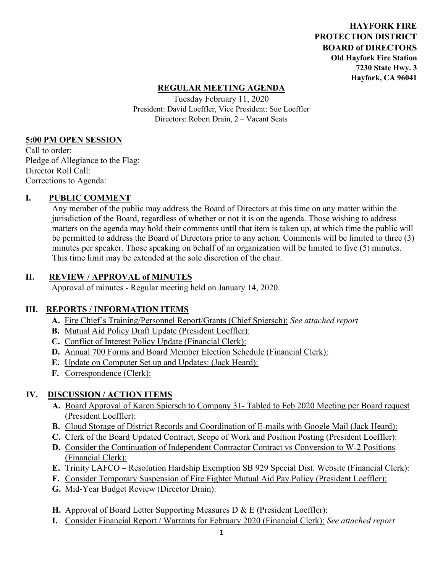**HAYFORK FIRE PROTECTION DISTRICT BOARD of DIRECTORS Old Hayfork Fire Station 7230 State Hwy. 3 Hayfork, CA 96041** 

#### **REGULAR MEETING AGENDA**

Tuesday February 11, 2020 President: David Loeffler, Vice President: Sue Loeffler Directors: Robert Drain, 2 – Vacant Seats

#### **5:00 PM OPEN SESSION**

Call to order: Pledge of Allegiance to the Flag: Director Roll Call: Corrections to Agenda:

#### **I. PUBLIC COMMENT**

Any member of the public may address the Board of Directors at this time on any matter within the jurisdiction of the Board, regardless of whether or not it is on the agenda. Those wishing to address matters on the agenda may hold their comments until that item is taken up, at which time the public will be permitted to address the Board of Directors prior to any action. Comments will be limited to three (3) minutes per speaker. Those speaking on behalf of an organization will be limited to five (5) minutes. This time limit may be extended at the sole discretion of the chair.

#### **II. REVIEW / APPROVAL of MINUTES**

Approval of minutes - Regular meeting held on January 14, 2020.

#### **III. REPORTS / INFORMATION ITEMS**

- **A.** Fire Chief's Training/Personnel Report/Grants (Chief Spiersch): *See attached report*
- **B.** Mutual Aid Policy Draft Update (President Loeffler):
- **C.** Conflict of Interest Policy Update (Financial Clerk):
- **D.** Annual 700 Forms and Board Member Election Schedule (Financial Clerk):
- **E.** Update on Computer Set up and Updates: (Jack Heard):
- **F.** Correspondence (Clerk):

### **IV. DISCUSSION / ACTION ITEMS**

- **A.** Board Approval of Karen Spiersch to Company 31- Tabled to Feb 2020 Meeting per Board request (President Loeffler):
- **B.** Cloud Storage of District Records and Coordination of E-mails with Google Mail (Jack Heard):
- **C.** Clerk of the Board Updated Contract, Scope of Work and Position Posting (President Loeffler):
- **D.** Consider the Continuation of Independent Contractor Contract vs Conversion to W-2 Positions (Financial Clerk):
- **E.** Trinity LAFCO Resolution Hardship Exemption SB 929 Special Dist. Website (Financial Clerk):
- **F.** Consider Temporary Suspension of Fire Fighter Mutual Aid Pay Policy (President Loeffler):
- **G.** Mid-Year Budget Review (Director Drain):
- **H.** Approval of Board Letter Supporting Measures D & E (President Loeffler):
- **I.** Consider Financial Report / Warrants for February 2020 (Financial Clerk): *See attached report*